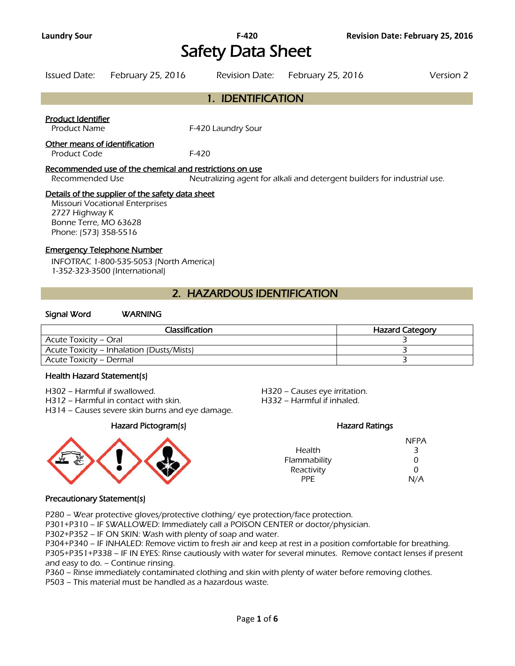# Safety Data Sheet

|                   | Issued Date: February 25, 2016 |  | Revision Date: February 25, 2016 | Version 2 |
|-------------------|--------------------------------|--|----------------------------------|-----------|
| 1. IDENTIFICATION |                                |  |                                  |           |

#### Product Identifier

Product Name F-420 Laundry Sour

#### Other means of identification

Product Code F-420

#### Recommended use of the chemical and restrictions on use

Recommended Use Neutralizing agent for alkali and detergent builders for industrial use.

#### Details of the supplier of the safety data sheet

Missouri Vocational Enterprises 2727 Highway K Bonne Terre, MO 63628 Phone: (573) 358-5516

#### Emergency Telephone Number

INFOTRAC 1-800-535-5053 (North America) 1-352-323-3500 (International)

### 2. HAZARDOUS IDENTIFICATION

#### Signal Word WARNING

| Classification                            | <b>Hazard Category</b> |
|-------------------------------------------|------------------------|
| Acute Toxicity – Oral                     |                        |
| Acute Toxicity – Inhalation (Dusts/Mists) |                        |
| Acute Toxicity – Dermal                   |                        |
|                                           |                        |

#### Health Hazard Statement(s)

H302 – Harmful if swallowed. H320 – Causes eye irritation.

H312 – Harmful in contact with skin. H332 – Harmful if inhaled.

H314 – Causes severe skin burns and eye damage.

Hazard Pictogram(s) Hazard Ratings



|               | <b>NFPA</b> |
|---------------|-------------|
| <b>Health</b> | 3           |
| Flammability  | 0           |
| Reactivity    | 0           |
| PPF.          | N/A         |

#### Precautionary Statement(s)

P280 – Wear protective gloves/protective clothing/ eye protection/face protection.

P301+P310 – IF SWALLOWED: Immediately call a POISON CENTER or doctor/physician.

P302+P352 – IF ON SKIN: Wash with plenty of soap and water.

P304+P340 – IF INHALED: Remove victim to fresh air and keep at rest in a position comfortable for breathing. P305+P351+P338 – IF IN EYES: Rinse cautiously with water for several minutes. Remove contact lenses if present and easy to do. – Continue rinsing.

P360 – Rinse immediately contaminated clothing and skin with plenty of water before removing clothes.

P503 – This material must be handled as a hazardous waste.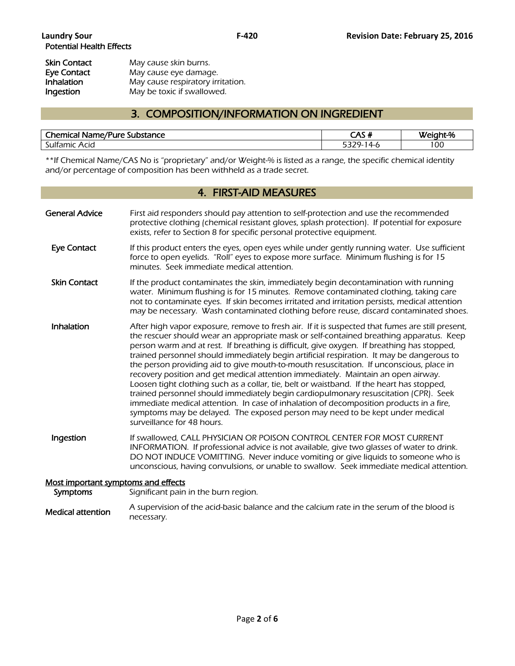| Skin Contact      | May cause skin burns.             |
|-------------------|-----------------------------------|
| Eye Contact       | May cause eye damage.             |
| <b>Inhalation</b> | May cause respiratory irritation. |
| Ingestion         | May be toxic if swallowed.        |

### 3. COMPOSITION/INFORMATION ON INGREDIENT

| <b>Chemical Name/Pure:</b><br>Substance <sup>.</sup> | CAC 4<br>″ د ص | Weight-% |
|------------------------------------------------------|----------------|----------|
| Sulfamic<br>Acid                                     | ∟-14           | 100      |
|                                                      |                |          |

\*\*If Chemical Name/CAS No is "proprietary" and/or Weight-% is listed as a range, the specific chemical identity and/or percentage of composition has been withheld as a trade secret.

### 4. FIRST-AID MEASURES

| <b>General Advice</b>               | First aid responders should pay attention to self-protection and use the recommended<br>protective clothing (chemical resistant gloves, splash protection). If potential for exposure<br>exists, refer to Section 8 for specific personal protective equipment.                                                                                                                                                                                                                                                                                                                                                                                                                                                                                                                                                                                                                                                                                                       |
|-------------------------------------|-----------------------------------------------------------------------------------------------------------------------------------------------------------------------------------------------------------------------------------------------------------------------------------------------------------------------------------------------------------------------------------------------------------------------------------------------------------------------------------------------------------------------------------------------------------------------------------------------------------------------------------------------------------------------------------------------------------------------------------------------------------------------------------------------------------------------------------------------------------------------------------------------------------------------------------------------------------------------|
| <b>Eye Contact</b>                  | If this product enters the eyes, open eyes while under gently running water. Use sufficient<br>force to open eyelids. "Roll" eyes to expose more surface. Minimum flushing is for 15<br>minutes. Seek immediate medical attention.                                                                                                                                                                                                                                                                                                                                                                                                                                                                                                                                                                                                                                                                                                                                    |
| <b>Skin Contact</b>                 | If the product contaminates the skin, immediately begin decontamination with running<br>water. Minimum flushing is for 15 minutes. Remove contaminated clothing, taking care<br>not to contaminate eyes. If skin becomes irritated and irritation persists, medical attention<br>may be necessary. Wash contaminated clothing before reuse, discard contaminated shoes.                                                                                                                                                                                                                                                                                                                                                                                                                                                                                                                                                                                               |
| Inhalation                          | After high vapor exposure, remove to fresh air. If it is suspected that fumes are still present,<br>the rescuer should wear an appropriate mask or self-contained breathing apparatus. Keep<br>person warm and at rest. If breathing is difficult, give oxygen. If breathing has stopped,<br>trained personnel should immediately begin artificial respiration. It may be dangerous to<br>the person providing aid to give mouth-to-mouth resuscitation. If unconscious, place in<br>recovery position and get medical attention immediately. Maintain an open airway.<br>Loosen tight clothing such as a collar, tie, belt or waistband. If the heart has stopped,<br>trained personnel should immediately begin cardiopulmonary resuscitation (CPR). Seek<br>immediate medical attention. In case of inhalation of decomposition products in a fire,<br>symptoms may be delayed. The exposed person may need to be kept under medical<br>surveillance for 48 hours. |
| Ingestion                           | If swallowed, CALL PHYSICIAN OR POISON CONTROL CENTER FOR MOST CURRENT<br>INFORMATION. If professional advice is not available, give two glasses of water to drink.<br>DO NOT INDUCE VOMITTING. Never induce vomiting or give liquids to someone who is<br>unconscious, having convulsions, or unable to swallow. Seek immediate medical attention.                                                                                                                                                                                                                                                                                                                                                                                                                                                                                                                                                                                                                   |
| Most important symptoms and effects |                                                                                                                                                                                                                                                                                                                                                                                                                                                                                                                                                                                                                                                                                                                                                                                                                                                                                                                                                                       |
| Symptoms                            | Significant pain in the burn region.                                                                                                                                                                                                                                                                                                                                                                                                                                                                                                                                                                                                                                                                                                                                                                                                                                                                                                                                  |
|                                     |                                                                                                                                                                                                                                                                                                                                                                                                                                                                                                                                                                                                                                                                                                                                                                                                                                                                                                                                                                       |

Medical attention A supervision of the acid-basic balance and the calcium rate in the serum of the blood is necessary.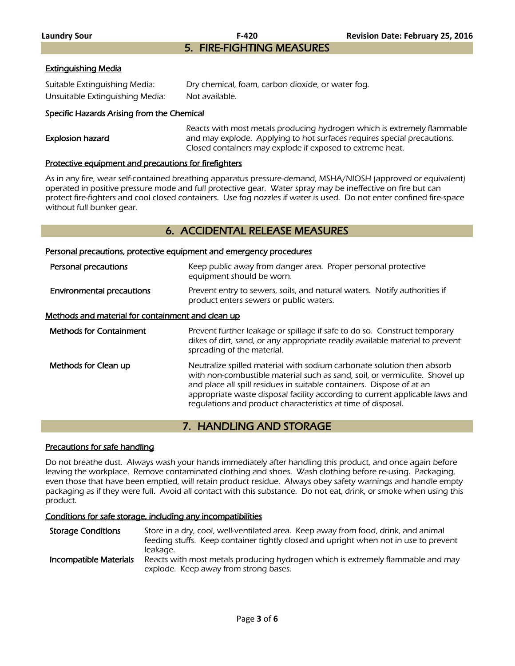5. FIRE-FIGHTING MEASURES

#### Extinguishing Media

| Suitable Extinguishing Media:   | Dry chemical, foam, carbon dioxide, or water fog. |
|---------------------------------|---------------------------------------------------|
| Unsuitable Extinguishing Media: | Not available.                                    |

#### Specific Hazards Arising from the Chemical

|                  | Reacts with most metals producing hydrogen which is extremely flammable |
|------------------|-------------------------------------------------------------------------|
| Explosion hazard | and may explode. Applying to hot surfaces requires special precautions. |
|                  | Closed containers may explode if exposed to extreme heat.               |
|                  |                                                                         |

#### Protective equipment and precautions for firefighters

As in any fire, wear self-contained breathing apparatus pressure-demand, MSHA/NIOSH (approved or equivalent) operated in positive pressure mode and full protective gear. Water spray may be ineffective on fire but can protect fire-fighters and cool closed containers. Use fog nozzles if water is used. Do not enter confined fire-space without full bunker gear.

#### 6. ACCIDENTAL RELEASE MEASURES

#### Personal precautions, protective equipment and emergency procedures

| Personal precautions                              | Keep public away from danger area. Proper personal protective<br>equipment should be worn.                                                                                                                                                                                                                                                                                     |  |  |  |
|---------------------------------------------------|--------------------------------------------------------------------------------------------------------------------------------------------------------------------------------------------------------------------------------------------------------------------------------------------------------------------------------------------------------------------------------|--|--|--|
| <b>Environmental precautions</b>                  | Prevent entry to sewers, soils, and natural waters. Notify authorities if<br>product enters sewers or public waters.                                                                                                                                                                                                                                                           |  |  |  |
| Methods and material for containment and clean up |                                                                                                                                                                                                                                                                                                                                                                                |  |  |  |
| <b>Methods for Containment</b>                    | Prevent further leakage or spillage if safe to do so. Construct temporary<br>dikes of dirt, sand, or any appropriate readily available material to prevent<br>spreading of the material.                                                                                                                                                                                       |  |  |  |
| Methods for Clean up                              | Neutralize spilled material with sodium carbonate solution then absorb<br>with non-combustible material such as sand, soil, or vermiculite. Shovel up<br>and place all spill residues in suitable containers. Dispose of at an<br>appropriate waste disposal facility according to current applicable laws and<br>requlations and product characteristics at time of disposal. |  |  |  |

### 7. HANDLING AND STORAGE

#### Precautions for safe handling

Do not breathe dust. Always wash your hands immediately after handling this product, and once again before leaving the workplace. Remove contaminated clothing and shoes. Wash clothing before re-using. Packaging, even those that have been emptied, will retain product residue. Always obey safety warnings and handle empty packaging as if they were full. Avoid all contact with this substance. Do not eat, drink, or smoke when using this product.

#### Conditions for safe storage, including any incompatibilities

Storage Conditions Store in a dry, cool, well-ventilated area. Keep away from food, drink, and animal feeding stuffs. Keep container tightly closed and upright when not in use to prevent leakage.

Incompatible Materials Reacts with most metals producing hydrogen which is extremely flammable and may explode. Keep away from strong bases.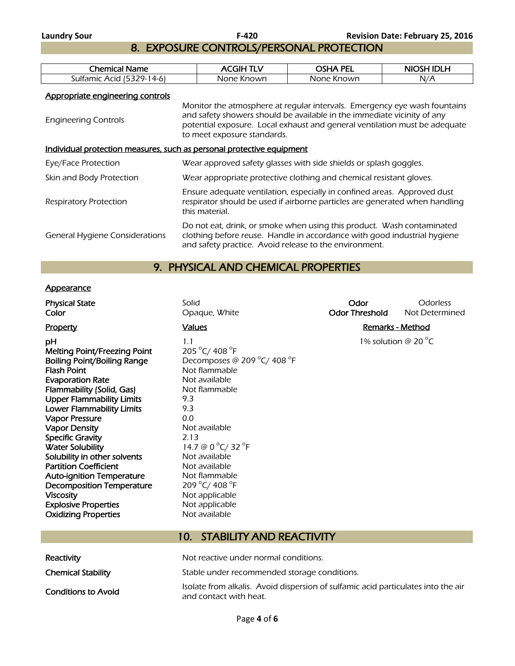8. EXPOSURE CONTROLS/PERSONAL PROTECTION

| :hemical<br>Name                   | GІН<br>$\overline{\phantom{a}}$<br>-- | PEL<br>റലേ∆     | ם וחו<br><b>NIOSH</b> |
|------------------------------------|---------------------------------------|-----------------|-----------------------|
| 70_<br>: 4-6<br>Sultamic<br>: Acid | None Known                            | None<br>· Known | N/A                   |
|                                    |                                       |                 |                       |

Appropriate engineering controls

| Monitor the atmosphere at regular intervals. Emergency eye wash fountains<br>and safety showers should be available in the immediate vicinity of any<br>potential exposure. Local exhaust and general ventilation must be adequate<br>to meet exposure standards. |  |  |  |  |
|-------------------------------------------------------------------------------------------------------------------------------------------------------------------------------------------------------------------------------------------------------------------|--|--|--|--|
| Individual protection measures, such as personal protective equipment                                                                                                                                                                                             |  |  |  |  |
| Wear approved safety glasses with side shields or splash goggles.                                                                                                                                                                                                 |  |  |  |  |
| Wear appropriate protective clothing and chemical resistant gloves.                                                                                                                                                                                               |  |  |  |  |
| Ensure adequate ventilation, especially in confined areas. Approved dust<br>respirator should be used if airborne particles are generated when handling<br>this material.                                                                                         |  |  |  |  |
| Do not eat, drink, or smoke when using this product. Wash contaminated<br>clothing before reuse. Handle in accordance with good industrial hygiene<br>and safety practice. Avoid release to the environment.                                                      |  |  |  |  |
|                                                                                                                                                                                                                                                                   |  |  |  |  |

## 9. PHYSICAL AND CHEMICAL PROPERTIES

#### **Appearance**

| <b>Physical State</b><br>Color                                                                                                                                                                                                                                                                                                                                                                                                                                                                                                                                  | Solid<br>Opaque, White                                                                                                                                                                                                                                                                                | Odor<br><b>Odor Threshold</b> | <b>Odorless</b><br>Not Determined |
|-----------------------------------------------------------------------------------------------------------------------------------------------------------------------------------------------------------------------------------------------------------------------------------------------------------------------------------------------------------------------------------------------------------------------------------------------------------------------------------------------------------------------------------------------------------------|-------------------------------------------------------------------------------------------------------------------------------------------------------------------------------------------------------------------------------------------------------------------------------------------------------|-------------------------------|-----------------------------------|
| <b>Property</b>                                                                                                                                                                                                                                                                                                                                                                                                                                                                                                                                                 | <b>Values</b>                                                                                                                                                                                                                                                                                         | <b>Remarks - Method</b>       |                                   |
| рH<br><b>Melting Point/Freezing Point</b><br><b>Boiling Point/Boiling Range</b><br><b>Flash Point</b><br><b>Evaporation Rate</b><br>Flammability (Solid, Gas)<br><b>Upper Flammability Limits</b><br><b>Lower Flammability Limits</b><br><b>Vapor Pressure</b><br>Vapor Density<br><b>Specific Gravity</b><br><b>Water Solubility</b><br>Solubility in other solvents<br><b>Partition Coefficient</b><br><b>Auto-ignition Temperature</b><br><b>Decomposition Temperature</b><br><b>Viscosity</b><br><b>Explosive Properties</b><br><b>Oxidizing Properties</b> | 1.1<br>205 °C/ 408 °F<br>Decomposes @ 209 °C/ 408 °F<br>Not flammable<br>Not available<br>Not flammable<br>9.3<br>9.3<br>0.0<br>Not available<br>2.13<br>14.7 @ 0 °C/ 32 °F<br>Not available<br>Not available<br>Not flammable<br>209 °C/ 408 °F<br>Not applicable<br>Not applicable<br>Not available |                               | 1% solution @ 20 $^{\circ}$ C     |
|                                                                                                                                                                                                                                                                                                                                                                                                                                                                                                                                                                 |                                                                                                                                                                                                                                                                                                       |                               |                                   |

| Reactivity                | Not reactive under normal conditions.                                                                       |
|---------------------------|-------------------------------------------------------------------------------------------------------------|
| <b>Chemical Stability</b> | Stable under recommended storage conditions.                                                                |
| Conditions to Avoid       | Isolate from alkalis. Avoid dispersion of sulfamic acid particulates into the air<br>and contact with heat. |

10. STABILITY AND REACTIVITY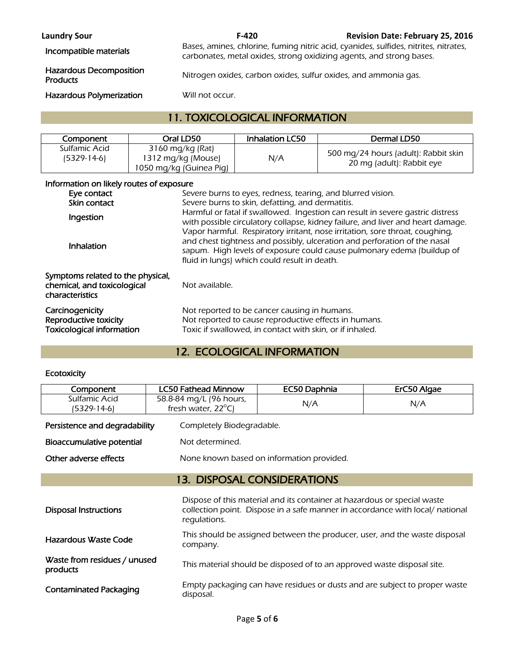**Laundry Sour F-420 Revision Date: February 25, 2016** 

Incompatible materials Bases, amines, chlorine, fuming nitric acid, cyanides, sulfides, nitrites, nitrates, nitrates, carbonates, metal oxides, strong oxidizing agents, and strong bases.

Nitrogen oxides, carbon oxides, sulfur oxides, and ammonia gas.

# Hazardous Decomposition

Hazardous Polymerization Will not occur.

### 11. TOXICOLOGICAL INFORMATION

| Component                    | Oral LD50                                                         | <b>Inhalation LC50</b> | Dermal LD50                                                       |
|------------------------------|-------------------------------------------------------------------|------------------------|-------------------------------------------------------------------|
| Sulfamic Acid<br>(5329-14-6) | 3160 mg/kg (Rat)<br>1312 mg/kg (Mouse)<br>1050 mg/kg (Guinea Pig) | N/A                    | 500 mg/24 hours (adult): Rabbit skin<br>20 mg (adult): Rabbit eye |

#### Information on likely routes of exposure

| Eye contact<br>Skin contact                                                         | Severe burns to eyes, redness, tearing, and blurred vision.<br>Severe burns to skin, defatting, and dermatitis.                                                                                                                                                                     |
|-------------------------------------------------------------------------------------|-------------------------------------------------------------------------------------------------------------------------------------------------------------------------------------------------------------------------------------------------------------------------------------|
| Ingestion                                                                           | Harmful or fatal if swallowed. Ingestion can result in severe gastric distress<br>with possible circulatory collapse, kidney failure, and liver and heart damage.                                                                                                                   |
| Inhalation                                                                          | Vapor harmful. Respiratory irritant, nose irritation, sore throat, coughing,<br>and chest tightness and possibly, ulceration and perforation of the nasal<br>sapum. High levels of exposure could cause pulmonary edema (buildup of<br>fluid in lungs) which could result in death. |
| Symptoms related to the physical,<br>chemical, and toxicological<br>characteristics | Not available.                                                                                                                                                                                                                                                                      |
| Carcinogenicity<br>Reproductive toxicity<br><b>Toxicological information</b>        | Not reported to be cancer causing in humans.<br>Not reported to cause reproductive effects in humans.<br>Toxic if swallowed, in contact with skin, or if inhaled.                                                                                                                   |

## 12. ECOLOGICAL INFORMATION

#### **Ecotoxicity**

| Component                                | <b>LC50 Fathead Minnow</b>   | EC50 Daphnia                                                               | ErC50 Algae                                                                   |
|------------------------------------------|------------------------------|----------------------------------------------------------------------------|-------------------------------------------------------------------------------|
| Sulfamic Acid                            | 58.8-84 mg/L (96 hours,      | N/A                                                                        | N/A                                                                           |
| (5329-14-6)                              | fresh water, $22^{\circ}$ C) |                                                                            |                                                                               |
| Persistence and degradability            | Completely Biodegradable.    |                                                                            |                                                                               |
| Bioaccumulative potential                | Not determined.              |                                                                            |                                                                               |
| Other adverse effects                    |                              | None known based on information provided.                                  |                                                                               |
|                                          |                              | <b>13. DISPOSAL CONSIDERATIONS</b>                                         |                                                                               |
| <b>Disposal Instructions</b>             | regulations.                 | Dispose of this material and its container at hazardous or special waste   | collection point. Dispose in a safe manner in accordance with local/ national |
| <b>Hazardous Waste Code</b>              | company.                     | This should be assigned between the producer, user, and the waste disposal |                                                                               |
| Waste from residues / unused<br>products |                              | This material should be disposed of to an approved waste disposal site.    |                                                                               |
| <b>Contaminated Packaging</b>            | disposal.                    | Empty packaging can have residues or dusts and are subject to proper waste |                                                                               |